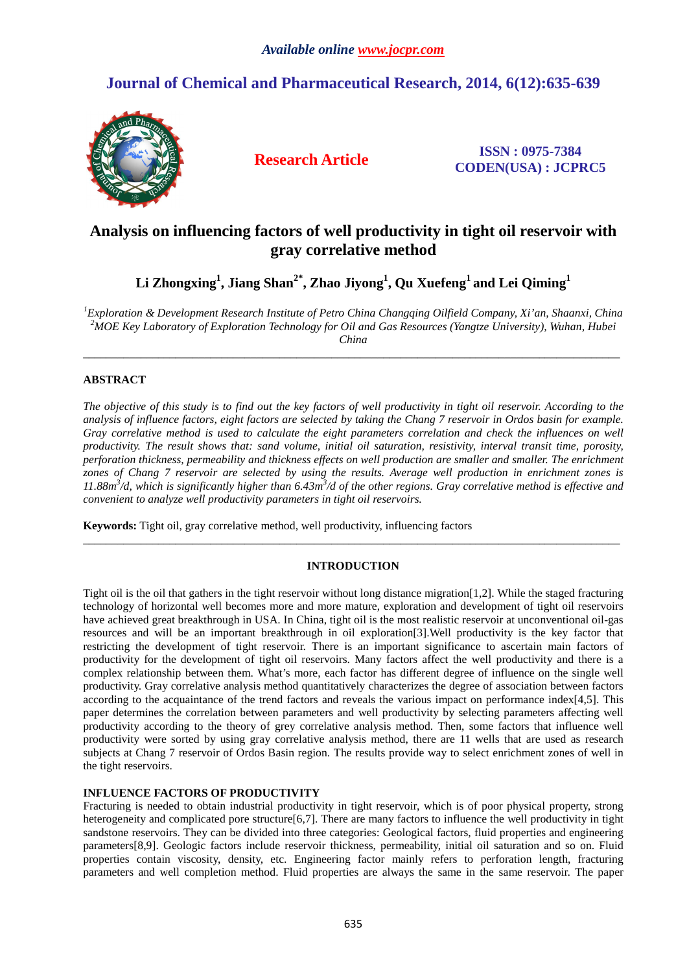# **Journal of Chemical and Pharmaceutical Research, 2014, 6(12):635-639**



**Research Article ISSN : 0975-7384 CODEN(USA) : JCPRC5**

## **Analysis on influencing factors of well productivity in tight oil reservoir with gray correlative method**

**Li Zhongxing<sup>1</sup> , Jiang Shan2\*, Zhao Jiyong<sup>1</sup> , Qu Xuefeng<sup>1</sup>and Lei Qiming<sup>1</sup>**

*<sup>1</sup>Exploration & Development Research Institute of Petro China Changqing Oilfield Company, Xi'an, Shaanxi, China <sup>2</sup>MOE Key Laboratory of Exploration Technology for Oil and Gas Resources (Yangtze University), Wuhan, Hubei China* 

\_\_\_\_\_\_\_\_\_\_\_\_\_\_\_\_\_\_\_\_\_\_\_\_\_\_\_\_\_\_\_\_\_\_\_\_\_\_\_\_\_\_\_\_\_\_\_\_\_\_\_\_\_\_\_\_\_\_\_\_\_\_\_\_\_\_\_\_\_\_\_\_\_\_\_\_\_\_\_\_\_\_\_\_\_\_\_\_\_\_\_\_\_

## **ABSTRACT**

*The objective of this study is to find out the key factors of well productivity in tight oil reservoir. According to the analysis of influence factors, eight factors are selected by taking the Chang 7 reservoir in Ordos basin for example.*  Gray correlative method is used to calculate the eight parameters correlation and check the influences on well *productivity. The result shows that: sand volume, initial oil saturation, resistivity, interval transit time, porosity, perforation thickness, permeability and thickness effects on well production are smaller and smaller. The enrichment zones of Chang 7 reservoir are selected by using the results. Average well production in enrichment zones is*  11.88 $m^3$ /d, which is significantly higher than 6.43 $m^3$ /d of the other regions. Gray correlative method is effective and *convenient to analyze well productivity parameters in tight oil reservoirs.* 

**Keywords:** Tight oil, gray correlative method, well productivity, influencing factors

## **INTRODUCTION**

\_\_\_\_\_\_\_\_\_\_\_\_\_\_\_\_\_\_\_\_\_\_\_\_\_\_\_\_\_\_\_\_\_\_\_\_\_\_\_\_\_\_\_\_\_\_\_\_\_\_\_\_\_\_\_\_\_\_\_\_\_\_\_\_\_\_\_\_\_\_\_\_\_\_\_\_\_\_\_\_\_\_\_\_\_\_\_\_\_\_\_\_\_

Tight oil is the oil that gathers in the tight reservoir without long distance migration[1,2]. While the staged fracturing technology of horizontal well becomes more and more mature, exploration and development of tight oil reservoirs have achieved great breakthrough in USA. In China, tight oil is the most realistic reservoir at unconventional oil-gas resources and will be an important breakthrough in oil exploration[3].Well productivity is the key factor that restricting the development of tight reservoir. There is an important significance to ascertain main factors of productivity for the development of tight oil reservoirs. Many factors affect the well productivity and there is a complex relationship between them. What's more, each factor has different degree of influence on the single well productivity. Gray correlative analysis method quantitatively characterizes the degree of association between factors according to the acquaintance of the trend factors and reveals the various impact on performance index[4,5]. This paper determines the correlation between parameters and well productivity by selecting parameters affecting well productivity according to the theory of grey correlative analysis method. Then, some factors that influence well productivity were sorted by using gray correlative analysis method, there are 11 wells that are used as research subjects at Chang 7 reservoir of Ordos Basin region. The results provide way to select enrichment zones of well in the tight reservoirs.

### **INFLUENCE FACTORS OF PRODUCTIVITY**

Fracturing is needed to obtain industrial productivity in tight reservoir, which is of poor physical property, strong heterogeneity and complicated pore structure[6,7]. There are many factors to influence the well productivity in tight sandstone reservoirs. They can be divided into three categories: Geological factors, fluid properties and engineering parameters[8,9]. Geologic factors include reservoir thickness, permeability, initial oil saturation and so on. Fluid properties contain viscosity, density, etc. Engineering factor mainly refers to perforation length, fracturing parameters and well completion method. Fluid properties are always the same in the same reservoir. The paper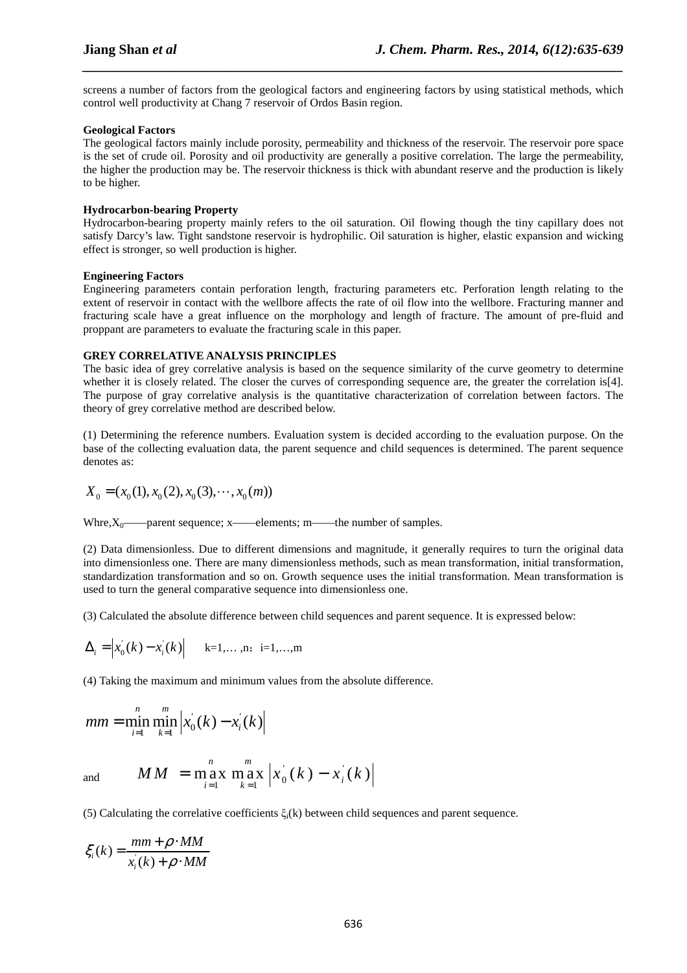screens a number of factors from the geological factors and engineering factors by using statistical methods, which control well productivity at Chang 7 reservoir of Ordos Basin region.

*\_\_\_\_\_\_\_\_\_\_\_\_\_\_\_\_\_\_\_\_\_\_\_\_\_\_\_\_\_\_\_\_\_\_\_\_\_\_\_\_\_\_\_\_\_\_\_\_\_\_\_\_\_\_\_\_\_\_\_\_\_\_\_\_\_\_\_\_\_\_\_\_\_\_\_\_\_\_*

#### **Geological Factors**

The geological factors mainly include porosity, permeability and thickness of the reservoir. The reservoir pore space is the set of crude oil. Porosity and oil productivity are generally a positive correlation. The large the permeability, the higher the production may be. The reservoir thickness is thick with abundant reserve and the production is likely to be higher.

#### **Hydrocarbon-bearing Property**

Hydrocarbon-bearing property mainly refers to the oil saturation. Oil flowing though the tiny capillary does not satisfy Darcy's law. Tight sandstone reservoir is hydrophilic. Oil saturation is higher, elastic expansion and wicking effect is stronger, so well production is higher.

#### **Engineering Factors**

Engineering parameters contain perforation length, fracturing parameters etc. Perforation length relating to the extent of reservoir in contact with the wellbore affects the rate of oil flow into the wellbore. Fracturing manner and fracturing scale have a great influence on the morphology and length of fracture. The amount of pre-fluid and proppant are parameters to evaluate the fracturing scale in this paper.

#### **GREY CORRELATIVE ANALYSIS PRINCIPLES**

The basic idea of grey correlative analysis is based on the sequence similarity of the curve geometry to determine whether it is closely related. The closer the curves of corresponding sequence are, the greater the correlation is[4]. The purpose of gray correlative analysis is the quantitative characterization of correlation between factors. The theory of grey correlative method are described below.

(1) Determining the reference numbers. Evaluation system is decided according to the evaluation purpose. On the base of the collecting evaluation data, the parent sequence and child sequences is determined. The parent sequence denotes as:

$$
X_0 = (x_0(1), x_0(2), x_0(3), \cdots, x_0(m))
$$

Whre, $X_0$ ——parent sequence; x——elements; m——the number of samples.

(2) Data dimensionless. Due to different dimensions and magnitude, it generally requires to turn the original data into dimensionless one. There are many dimensionless methods, such as mean transformation, initial transformation, standardization transformation and so on. Growth sequence uses the initial transformation. Mean transformation is used to turn the general comparative sequence into dimensionless one.

(3) Calculated the absolute difference between child sequences and parent sequence. It is expressed below:

$$
\Delta_i = |x'_0(k) - x'_i(k)|
$$
 k=1,...,n; i=1,...,m

(4) Taking the maximum and minimum values from the absolute difference.

$$
mm = \min_{i=1}^{n} \min_{k=1}^{m} \left| x_0(k) - x_i(k) \right|
$$

and

$$
MM = \max_{i=1}^{n} \max_{k=1}^{m} |x_0^{(k)}(k) - x_i^{(k)}|
$$

(5) Calculating the correlative coefficients  $\xi_i(k)$  between child sequences and parent sequence.

$$
\xi_i(k) = \frac{mm + \rho \cdot MM}{x_i(k) + \rho \cdot MM}
$$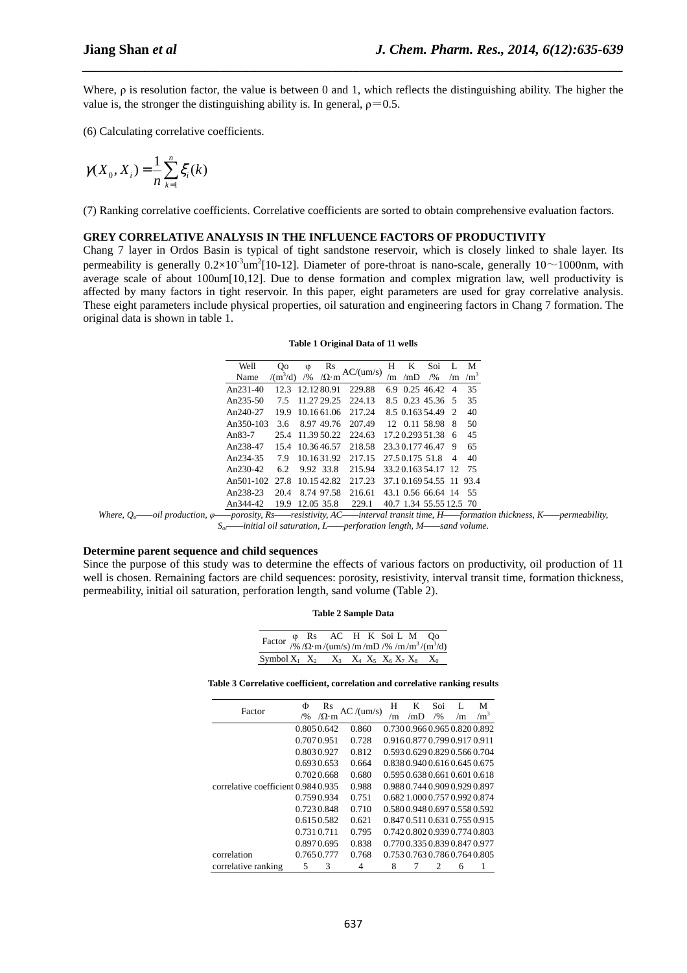Where, ρ is resolution factor, the value is between 0 and 1, which reflects the distinguishing ability. The higher the value is, the stronger the distinguishing ability is. In general,  $\rho = 0.5$ .

*\_\_\_\_\_\_\_\_\_\_\_\_\_\_\_\_\_\_\_\_\_\_\_\_\_\_\_\_\_\_\_\_\_\_\_\_\_\_\_\_\_\_\_\_\_\_\_\_\_\_\_\_\_\_\_\_\_\_\_\_\_\_\_\_\_\_\_\_\_\_\_\_\_\_\_\_\_\_*

(6) Calculating correlative coefficients.

$$
\gamma(X_0, X_i) = \frac{1}{n} \sum_{k=1}^n \xi_i(k)
$$

(7) Ranking correlative coefficients. Correlative coefficients are sorted to obtain comprehensive evaluation factors.

#### **GREY CORRELATIVE ANALYSIS IN THE INFLUENCE FACTORS OF PRODUCTIVITY**

Chang 7 layer in Ordos Basin is typical of tight sandstone reservoir, which is closely linked to shale layer. Its permeability is generally  $0.2 \times 10^{-3}$ um<sup>2</sup>[10-12]. Diameter of pore-throat is nano-scale, generally 10~1000nm, with average scale of about 100um[10,12]. Due to dense formation and complex migration law, well productivity is affected by many factors in tight reservoir. In this paper, eight parameters are used for gray correlative analysis. These eight parameters include physical properties, oil saturation and engineering factors in Chang 7 formation. The original data is shown in table 1.

|  | Table 1 Original Data of 11 wells |  |  |  |
|--|-----------------------------------|--|--|--|
|--|-----------------------------------|--|--|--|

| Well                           | Qo               | φ             | Rs                      |                        | H  | K              | Soi                     |                | M          |
|--------------------------------|------------------|---------------|-------------------------|------------------------|----|----------------|-------------------------|----------------|------------|
| Name                           | $/(m^3/d)$       | /9/0          | $\sqrt{\Omega} \cdot m$ | AC/(um/s)              | /m | /mD            | /9/0                    | /m             | $\rm /m^3$ |
| An $231-40$                    |                  |               | 12.3 12.12.80.91        | 229.88                 |    |                | 6.9 0.25 46.42          | $\overline{4}$ | 35         |
| An $235-50$                    | 7.5              |               | 11.27 29.25             | 224.13                 |    |                | 8.5 0.23 45.36 5        |                | 35         |
| An240-27                       |                  |               |                         | 19.9 10.1661.06 217.24 |    |                | 8.5 0.163 54.49 2       |                | 40         |
| An350-103                      | 3.6              |               | 8.97 49.76              | 207.49                 |    |                | 12 0.11 58.98 8         |                | 50         |
| An $83-7$                      | 25.4 11.39 50.22 |               |                         | 224.63                 |    |                | 17.20.293.51.38 6       |                | 45         |
| An238-47                       | 15.4             |               | 10.3646.57              | 218.58                 |    |                | 23.30.17746.47          | - 9            | 65         |
| An234-35 7.9 10.1631.92 217.15 |                  |               |                         |                        |    | 27.50.175 51.8 |                         | 4              | 40         |
| An $230-42$                    |                  | 6.2 9.92 33.8 |                         | 215.94                 |    |                | 33.20.163.54.17 12      |                | 75         |
| An501-102 27.8 10.1542.82      |                  |               |                         | 217.23                 |    |                | 37.10.169.54.55 11 93.4 |                |            |
| An238-23                       | 20.4             |               | 8.74 97.58              | 216.61                 |    |                | 43.1 0.56 66.64 14 55   |                |            |
| An344-42                       | 19.9             |               | 12.05 35.8              | 229.1                  |    |                | 40.7 1.34 55.55 12.5 70 |                |            |

*Where, Qo——oil production, φ——porosity, Rs——resistivity, AC——interval transit time, H——formation thickness, K——permeability, Soi——initial oil saturation, L——perforation length, M——sand volume.* 

#### **Determine parent sequence and child sequences**

Since the purpose of this study was to determine the effects of various factors on productivity, oil production of 11 well is chosen. Remaining factors are child sequences: porosity, resistivity, interval transit time, formation thickness, permeability, initial oil saturation, perforation length, sand volume (Table 2).

| Factor $\varphi$ Rs AC H K Soi L M Qo<br>$\varphi$ /2 m/(um/s)/m/mD /% /m/m <sup>3</sup> /(m <sup>3</sup> /d) |  |  |  |  |  |
|---------------------------------------------------------------------------------------------------------------|--|--|--|--|--|
|                                                                                                               |  |  |  |  |  |
| Symbol $X_1$ $X_2$ $X_3$ $X_4$ $X_5$ $X_6$ $X_7$ $X_8$ $X_0$                                                  |  |  |  |  |  |

**Table 3 Correlative coefficient, correlation and correlative ranking results** 

| Factor                              | Φ<br>/9/0 | Rs<br>$\sqrt{\Omega \cdot m}$ | AC/(um/s) | H<br>$\mathbf{m}$ | K<br>/mD                      | Soi<br>/9/0    | /m | М<br>$\rm /m^3$ |
|-------------------------------------|-----------|-------------------------------|-----------|-------------------|-------------------------------|----------------|----|-----------------|
|                                     |           | 0.8050.642                    | 0.860     |                   | 0.7300.9660.9650.8200.892     |                |    |                 |
|                                     |           | 0.7070.951                    | 0.728     |                   | 0.9160.8770.7990.9170.911     |                |    |                 |
|                                     |           | 0.8030.927                    | 0.812     |                   | 0.5930.6290.8290.5660.704     |                |    |                 |
|                                     |           | 0.6930.653                    | 0.664     |                   | 0.8380.9400.6160.6450.675     |                |    |                 |
|                                     |           | 0.7020.668                    | 0.680     |                   | 0.5950.6380.6610.6010.618     |                |    |                 |
| correlative coefficient 0.984 0.935 |           |                               | 0.988     |                   | 0.9880.7440.9090.9290.897     |                |    |                 |
|                                     |           | 0.7590.934                    | 0.751     |                   | 0.6821.0000.7570.9920.874     |                |    |                 |
|                                     |           | 0.7230.848                    | 0.710     |                   | 0.5800.9480.6970.5580.592     |                |    |                 |
|                                     |           | 0.6150.582                    | 0.621     |                   | 0.847 0.511 0.631 0.755 0.915 |                |    |                 |
|                                     |           | 0.7310.711                    | 0.795     |                   | 0.7420.8020.9390.7740.803     |                |    |                 |
|                                     |           | 0.8970.695                    | 0.838     |                   | 0.7700.3350.8390.8470.977     |                |    |                 |
| correlation                         |           | 0.7650.777                    | 0.768     |                   | 0.7530.7630.7860.7640.805     |                |    |                 |
| correlative ranking                 | 5         | 3                             | 4         | 8                 |                               | $\mathfrak{D}$ | 6  |                 |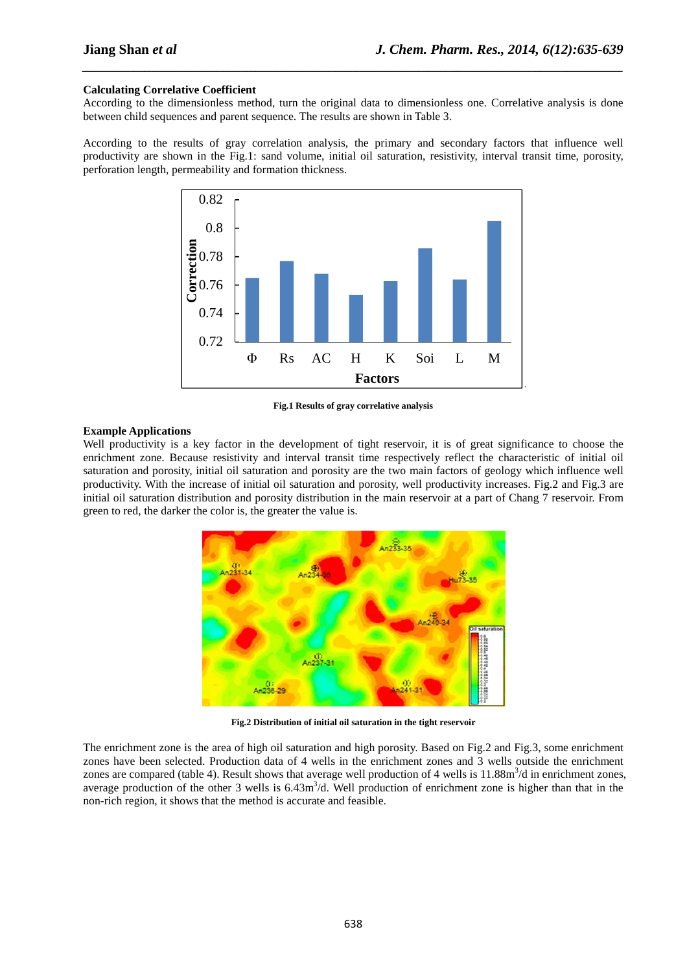#### **Calculating Correlative Coefficient**

According to the dimensionless method, turn the original data to dimensionless one. Correlative analysis is done between child sequences and parent sequence. The results are shown in Table 3.

*\_\_\_\_\_\_\_\_\_\_\_\_\_\_\_\_\_\_\_\_\_\_\_\_\_\_\_\_\_\_\_\_\_\_\_\_\_\_\_\_\_\_\_\_\_\_\_\_\_\_\_\_\_\_\_\_\_\_\_\_\_\_\_\_\_\_\_\_\_\_\_\_\_\_\_\_\_\_*

According to the results of gray correlation analysis, the primary and secondary factors that influence well productivity are shown in the Fig.1: sand volume, initial oil saturation, resistivity, interval transit time, porosity, perforation length, permeability and formation thickness.



**Fig.1 Results of gray correlative analysis** 

#### **Example Applications**

Well productivity is a key factor in the development of tight reservoir, it is of great significance to choose the enrichment zone. Because resistivity and interval transit time respectively reflect the characteristic of initial oil saturation and porosity, initial oil saturation and porosity are the two main factors of geology which influence well productivity. With the increase of initial oil saturation and porosity, well productivity increases. Fig.2 and Fig.3 are initial oil saturation distribution and porosity distribution in the main reservoir at a part of Chang 7 reservoir. From green to red, the darker the color is, the greater the value is.



**Fig.2 Distribution of initial oil saturation in the tight reservoir** 

The enrichment zone is the area of high oil saturation and high porosity. Based on Fig.2 and Fig.3, some enrichment zones have been selected. Production data of 4 wells in the enrichment zones and 3 wells outside the enrichment zones are compared (table 4). Result shows that average well production of 4 wells is  $11.88m<sup>3</sup>/d$  in enrichment zones, average production of the other 3 wells is  $6.43m<sup>3</sup>/d$ . Well production of enrichment zone is higher than that in the non-rich region, it shows that the method is accurate and feasible.